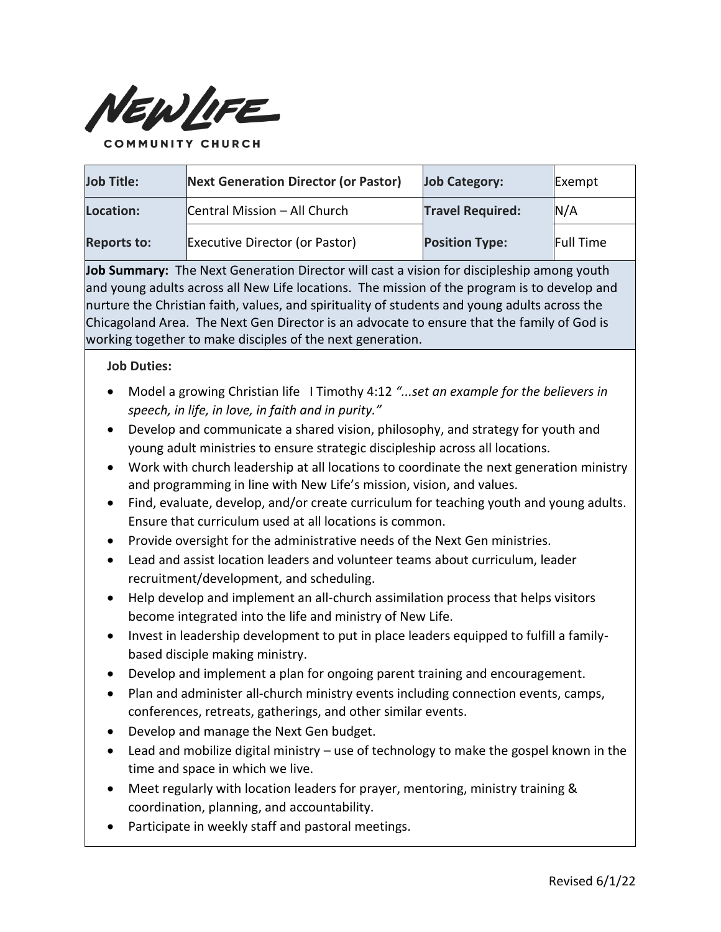

**Job Title: Next Generation Director (or Pastor) Job Category:** Exempt **Location:** Central Mission – All Church **Travel Required:** N/A **Reports to:** Executive Director (or Pastor) **Position Type:** Full Time

**Job Summary:** The Next Generation Director will cast a vision for discipleship among youth and young adults across all New Life locations. The mission of the program is to develop and nurture the Christian faith, values, and spirituality of students and young adults across the Chicagoland Area. The Next Gen Director is an advocate to ensure that the family of God is working together to make disciples of the next generation.

**Job Duties:**

- Model a growing Christian life I Timothy 4:12 *"...set an example for the believers in speech, in life, in love, in faith and in purity."*
- Develop and communicate a shared vision, philosophy, and strategy for youth and young adult ministries to ensure strategic discipleship across all locations.
- Work with church leadership at all locations to coordinate the next generation ministry and programming in line with New Life's mission, vision, and values.
- Find, evaluate, develop, and/or create curriculum for teaching youth and young adults. Ensure that curriculum used at all locations is common.
- Provide oversight for the administrative needs of the Next Gen ministries.
- Lead and assist location leaders and volunteer teams about curriculum, leader recruitment/development, and scheduling.
- Help develop and implement an all-church assimilation process that helps visitors become integrated into the life and ministry of New Life.
- Invest in leadership development to put in place leaders equipped to fulfill a familybased disciple making ministry.
- Develop and implement a plan for ongoing parent training and encouragement.
- Plan and administer all-church ministry events including connection events, camps, conferences, retreats, gatherings, and other similar events.
- Develop and manage the Next Gen budget.
- Lead and mobilize digital ministry use of technology to make the gospel known in the time and space in which we live.
- Meet regularly with location leaders for prayer, mentoring, ministry training & coordination, planning, and accountability.
- Participate in weekly staff and pastoral meetings.